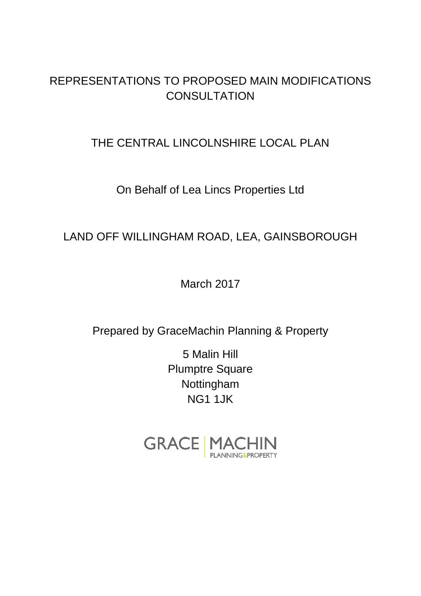## REPRESENTATIONS TO PROPOSED MAIN MODIFICATIONS **CONSULTATION**

## THE CENTRAL LINCOLNSHIRE LOCAL PLAN

## On Behalf of Lea Lincs Properties Ltd

# LAND OFF WILLINGHAM ROAD, LEA, GAINSBOROUGH

March 2017

Prepared by GraceMachin Planning & Property

5 Malin Hill Plumptre Square Nottingham NG1 1JK

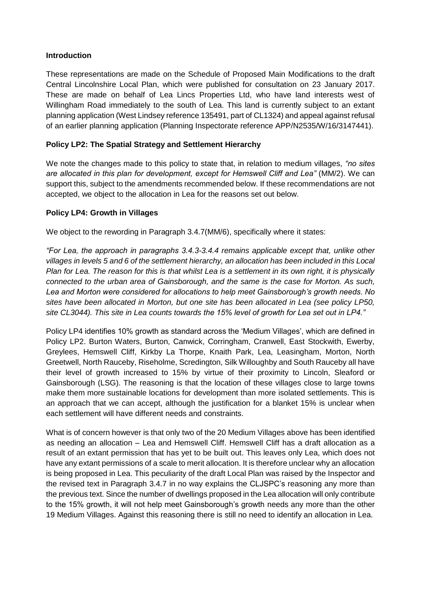### **Introduction**

These representations are made on the Schedule of Proposed Main Modifications to the draft Central Lincolnshire Local Plan, which were published for consultation on 23 January 2017. These are made on behalf of Lea Lincs Properties Ltd, who have land interests west of Willingham Road immediately to the south of Lea. This land is currently subject to an extant planning application (West Lindsey reference 135491, part of CL1324) and appeal against refusal of an earlier planning application (Planning Inspectorate reference APP/N2535/W/16/3147441).

### **Policy LP2: The Spatial Strategy and Settlement Hierarchy**

We note the changes made to this policy to state that, in relation to medium villages, *"no sites are allocated in this plan for development, except for Hemswell Cliff and Lea"* (MM/2). We can support this, subject to the amendments recommended below. If these recommendations are not accepted, we object to the allocation in Lea for the reasons set out below.

#### **Policy LP4: Growth in Villages**

We object to the rewording in Paragraph 3.4.7(MM/6), specifically where it states:

*"For Lea, the approach in paragraphs 3.4.3-3.4.4 remains applicable except that, unlike other villages in levels 5 and 6 of the settlement hierarchy, an allocation has been included in this Local Plan for Lea. The reason for this is that whilst Lea is a settlement in its own right, it is physically connected to the urban area of Gainsborough, and the same is the case for Morton. As such, Lea and Morton were considered for allocations to help meet Gainsborough's growth needs. No sites have been allocated in Morton, but one site has been allocated in Lea (see policy LP50, site CL3044). This site in Lea counts towards the 15% level of growth for Lea set out in LP4."*

Policy LP4 identifies 10% growth as standard across the 'Medium Villages', which are defined in Policy LP2. Burton Waters, Burton, Canwick, Corringham, Cranwell, East Stockwith, Ewerby, Greylees, Hemswell Cliff, Kirkby La Thorpe, Knaith Park, Lea, Leasingham, Morton, North Greetwell, North Rauceby, Riseholme, Scredington, Silk Willoughby and South Rauceby all have their level of growth increased to 15% by virtue of their proximity to Lincoln, Sleaford or Gainsborough (LSG). The reasoning is that the location of these villages close to large towns make them more sustainable locations for development than more isolated settlements. This is an approach that we can accept, although the justification for a blanket 15% is unclear when each settlement will have different needs and constraints.

What is of concern however is that only two of the 20 Medium Villages above has been identified as needing an allocation – Lea and Hemswell Cliff. Hemswell Cliff has a draft allocation as a result of an extant permission that has yet to be built out. This leaves only Lea, which does not have any extant permissions of a scale to merit allocation. It is therefore unclear why an allocation is being proposed in Lea. This peculiarity of the draft Local Plan was raised by the Inspector and the revised text in Paragraph 3.4.7 in no way explains the CLJSPC's reasoning any more than the previous text. Since the number of dwellings proposed in the Lea allocation will only contribute to the 15% growth, it will not help meet Gainsborough's growth needs any more than the other 19 Medium Villages. Against this reasoning there is still no need to identify an allocation in Lea.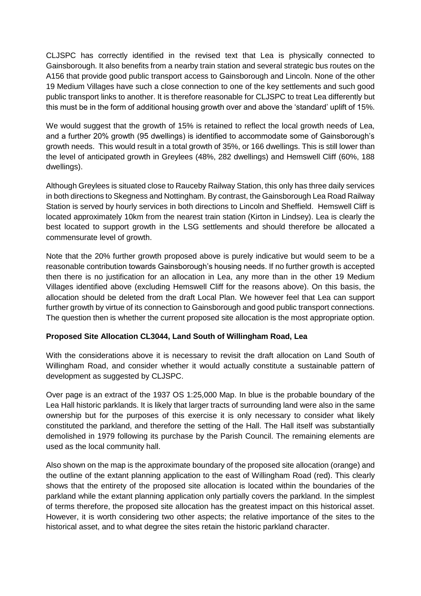CLJSPC has correctly identified in the revised text that Lea is physically connected to Gainsborough. It also benefits from a nearby train station and several strategic bus routes on the A156 that provide good public transport access to Gainsborough and Lincoln. None of the other 19 Medium Villages have such a close connection to one of the key settlements and such good public transport links to another. It is therefore reasonable for CLJSPC to treat Lea differently but this must be in the form of additional housing growth over and above the 'standard' uplift of 15%.

We would suggest that the growth of 15% is retained to reflect the local growth needs of Lea, and a further 20% growth (95 dwellings) is identified to accommodate some of Gainsborough's growth needs. This would result in a total growth of 35%, or 166 dwellings. This is still lower than the level of anticipated growth in Greylees (48%, 282 dwellings) and Hemswell Cliff (60%, 188 dwellings).

Although Greylees is situated close to Rauceby Railway Station, this only has three daily services in both directions to Skegness and Nottingham. By contrast, the Gainsborough Lea Road Railway Station is served by hourly services in both directions to Lincoln and Sheffield. Hemswell Cliff is located approximately 10km from the nearest train station (Kirton in Lindsey). Lea is clearly the best located to support growth in the LSG settlements and should therefore be allocated a commensurate level of growth.

Note that the 20% further growth proposed above is purely indicative but would seem to be a reasonable contribution towards Gainsborough's housing needs. If no further growth is accepted then there is no justification for an allocation in Lea, any more than in the other 19 Medium Villages identified above (excluding Hemswell Cliff for the reasons above). On this basis, the allocation should be deleted from the draft Local Plan. We however feel that Lea can support further growth by virtue of its connection to Gainsborough and good public transport connections. The question then is whether the current proposed site allocation is the most appropriate option.

#### **Proposed Site Allocation CL3044, Land South of Willingham Road, Lea**

With the considerations above it is necessary to revisit the draft allocation on Land South of Willingham Road, and consider whether it would actually constitute a sustainable pattern of development as suggested by CLJSPC.

Over page is an extract of the 1937 OS 1:25,000 Map. In blue is the probable boundary of the Lea Hall historic parklands. It is likely that larger tracts of surrounding land were also in the same ownership but for the purposes of this exercise it is only necessary to consider what likely constituted the parkland, and therefore the setting of the Hall. The Hall itself was substantially demolished in 1979 following its purchase by the Parish Council. The remaining elements are used as the local community hall.

Also shown on the map is the approximate boundary of the proposed site allocation (orange) and the outline of the extant planning application to the east of Willingham Road (red). This clearly shows that the entirety of the proposed site allocation is located within the boundaries of the parkland while the extant planning application only partially covers the parkland. In the simplest of terms therefore, the proposed site allocation has the greatest impact on this historical asset. However, it is worth considering two other aspects; the relative importance of the sites to the historical asset, and to what degree the sites retain the historic parkland character.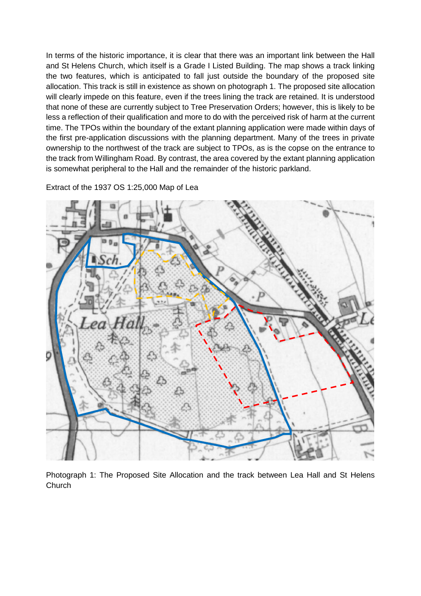In terms of the historic importance, it is clear that there was an important link between the Hall and St Helens Church, which itself is a Grade I Listed Building. The map shows a track linking the two features, which is anticipated to fall just outside the boundary of the proposed site allocation. This track is still in existence as shown on photograph 1. The proposed site allocation will clearly impede on this feature, even if the trees lining the track are retained. It is understood that none of these are currently subject to Tree Preservation Orders; however, this is likely to be less a reflection of their qualification and more to do with the perceived risk of harm at the current time. The TPOs within the boundary of the extant planning application were made within days of the first pre-application discussions with the planning department. Many of the trees in private ownership to the northwest of the track are subject to TPOs, as is the copse on the entrance to the track from Willingham Road. By contrast, the area covered by the extant planning application is somewhat peripheral to the Hall and the remainder of the historic parkland.

Extract of the 1937 OS 1:25,000 Map of Lea



Photograph 1: The Proposed Site Allocation and the track between Lea Hall and St Helens **Church**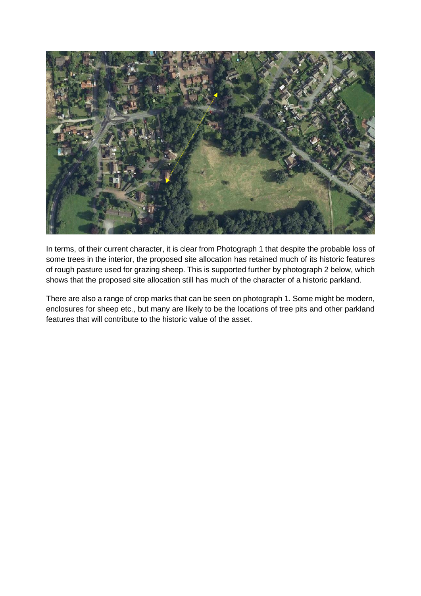

In terms, of their current character, it is clear from Photograph 1 that despite the probable loss of some trees in the interior, the proposed site allocation has retained much of its historic features of rough pasture used for grazing sheep. This is supported further by photograph 2 below, which shows that the proposed site allocation still has much of the character of a historic parkland.

There are also a range of crop marks that can be seen on photograph 1. Some might be modern, enclosures for sheep etc., but many are likely to be the locations of tree pits and other parkland features that will contribute to the historic value of the asset.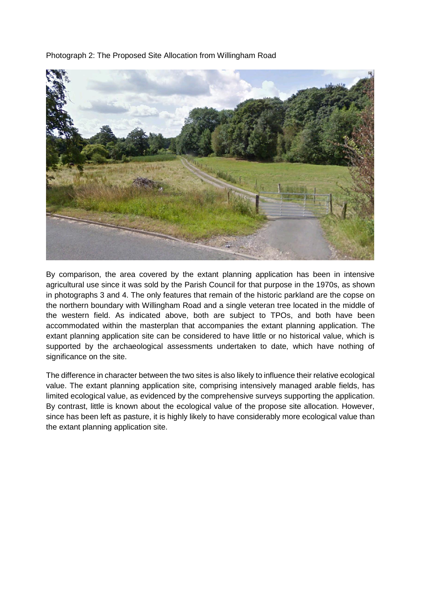Photograph 2: The Proposed Site Allocation from Willingham Road



By comparison, the area covered by the extant planning application has been in intensive agricultural use since it was sold by the Parish Council for that purpose in the 1970s, as shown in photographs 3 and 4. The only features that remain of the historic parkland are the copse on the northern boundary with Willingham Road and a single veteran tree located in the middle of the western field. As indicated above, both are subject to TPOs, and both have been accommodated within the masterplan that accompanies the extant planning application. The extant planning application site can be considered to have little or no historical value, which is supported by the archaeological assessments undertaken to date, which have nothing of significance on the site.

The difference in character between the two sites is also likely to influence their relative ecological value. The extant planning application site, comprising intensively managed arable fields, has limited ecological value, as evidenced by the comprehensive surveys supporting the application. By contrast, little is known about the ecological value of the propose site allocation. However, since has been left as pasture, it is highly likely to have considerably more ecological value than the extant planning application site.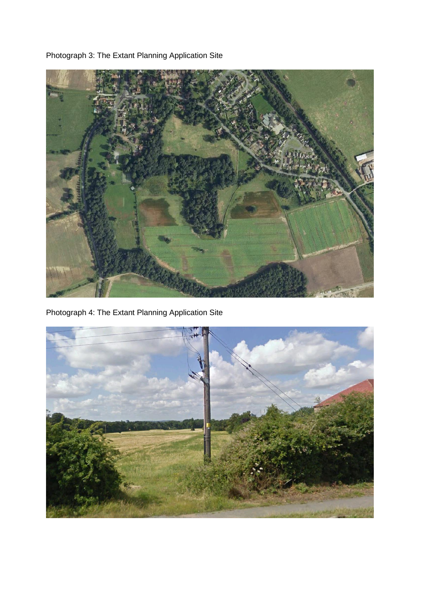Photograph 3: The Extant Planning Application Site



Photograph 4: The Extant Planning Application Site

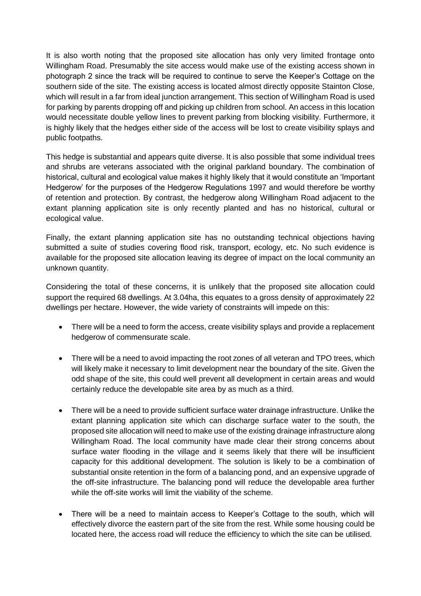It is also worth noting that the proposed site allocation has only very limited frontage onto Willingham Road. Presumably the site access would make use of the existing access shown in photograph 2 since the track will be required to continue to serve the Keeper's Cottage on the southern side of the site. The existing access is located almost directly opposite Stainton Close, which will result in a far from ideal junction arrangement. This section of Willingham Road is used for parking by parents dropping off and picking up children from school. An access in this location would necessitate double yellow lines to prevent parking from blocking visibility. Furthermore, it is highly likely that the hedges either side of the access will be lost to create visibility splays and public footpaths.

This hedge is substantial and appears quite diverse. It is also possible that some individual trees and shrubs are veterans associated with the original parkland boundary. The combination of historical, cultural and ecological value makes it highly likely that it would constitute an 'Important Hedgerow' for the purposes of the Hedgerow Regulations 1997 and would therefore be worthy of retention and protection. By contrast, the hedgerow along Willingham Road adjacent to the extant planning application site is only recently planted and has no historical, cultural or ecological value.

Finally, the extant planning application site has no outstanding technical objections having submitted a suite of studies covering flood risk, transport, ecology, etc. No such evidence is available for the proposed site allocation leaving its degree of impact on the local community an unknown quantity.

Considering the total of these concerns, it is unlikely that the proposed site allocation could support the required 68 dwellings. At 3.04ha, this equates to a gross density of approximately 22 dwellings per hectare. However, the wide variety of constraints will impede on this:

- There will be a need to form the access, create visibility splays and provide a replacement hedgerow of commensurate scale.
- There will be a need to avoid impacting the root zones of all veteran and TPO trees, which will likely make it necessary to limit development near the boundary of the site. Given the odd shape of the site, this could well prevent all development in certain areas and would certainly reduce the developable site area by as much as a third.
- There will be a need to provide sufficient surface water drainage infrastructure. Unlike the extant planning application site which can discharge surface water to the south, the proposed site allocation will need to make use of the existing drainage infrastructure along Willingham Road. The local community have made clear their strong concerns about surface water flooding in the village and it seems likely that there will be insufficient capacity for this additional development. The solution is likely to be a combination of substantial onsite retention in the form of a balancing pond, and an expensive upgrade of the off-site infrastructure. The balancing pond will reduce the developable area further while the off-site works will limit the viability of the scheme.
- There will be a need to maintain access to Keeper's Cottage to the south, which will effectively divorce the eastern part of the site from the rest. While some housing could be located here, the access road will reduce the efficiency to which the site can be utilised.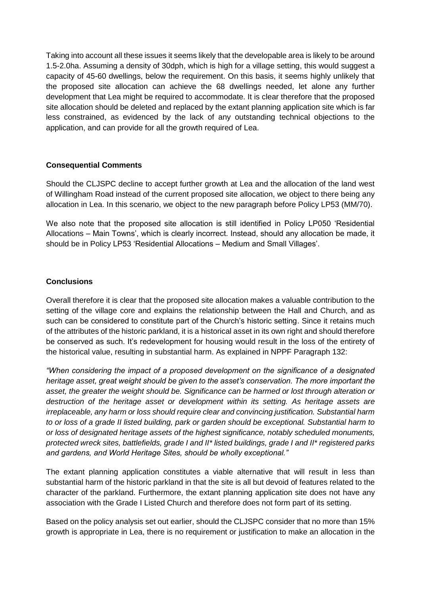Taking into account all these issues it seems likely that the developable area is likely to be around 1.5-2.0ha. Assuming a density of 30dph, which is high for a village setting, this would suggest a capacity of 45-60 dwellings, below the requirement. On this basis, it seems highly unlikely that the proposed site allocation can achieve the 68 dwellings needed, let alone any further development that Lea might be required to accommodate. It is clear therefore that the proposed site allocation should be deleted and replaced by the extant planning application site which is far less constrained, as evidenced by the lack of any outstanding technical objections to the application, and can provide for all the growth required of Lea.

#### **Consequential Comments**

Should the CLJSPC decline to accept further growth at Lea and the allocation of the land west of Willingham Road instead of the current proposed site allocation, we object to there being any allocation in Lea. In this scenario, we object to the new paragraph before Policy LP53 (MM/70).

We also note that the proposed site allocation is still identified in Policy LP050 'Residential Allocations – Main Towns', which is clearly incorrect. Instead, should any allocation be made, it should be in Policy LP53 'Residential Allocations – Medium and Small Villages'.

### **Conclusions**

Overall therefore it is clear that the proposed site allocation makes a valuable contribution to the setting of the village core and explains the relationship between the Hall and Church, and as such can be considered to constitute part of the Church's historic setting. Since it retains much of the attributes of the historic parkland, it is a historical asset in its own right and should therefore be conserved as such. It's redevelopment for housing would result in the loss of the entirety of the historical value, resulting in substantial harm. As explained in NPPF Paragraph 132:

*"When considering the impact of a proposed development on the significance of a designated heritage asset, great weight should be given to the asset's conservation. The more important the asset, the greater the weight should be. Significance can be harmed or lost through alteration or destruction of the heritage asset or development within its setting. As heritage assets are irreplaceable, any harm or loss should require clear and convincing justification. Substantial harm to or loss of a grade II listed building, park or garden should be exceptional. Substantial harm to or loss of designated heritage assets of the highest significance, notably scheduled monuments, protected wreck sites, battlefields, grade I and II\* listed buildings, grade I and II\* registered parks and gardens, and World Heritage Sites, should be wholly exceptional."*

The extant planning application constitutes a viable alternative that will result in less than substantial harm of the historic parkland in that the site is all but devoid of features related to the character of the parkland. Furthermore, the extant planning application site does not have any association with the Grade I Listed Church and therefore does not form part of its setting.

Based on the policy analysis set out earlier, should the CLJSPC consider that no more than 15% growth is appropriate in Lea, there is no requirement or justification to make an allocation in the